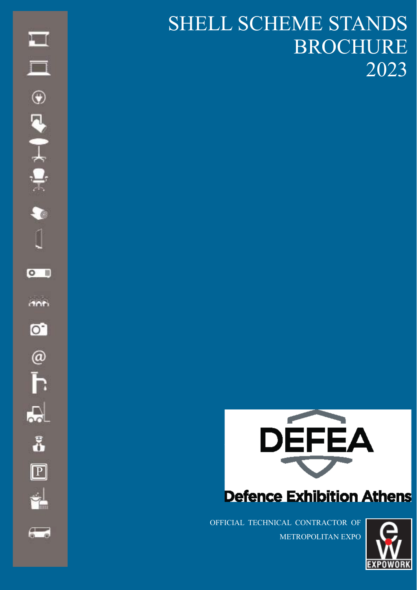### SHELL SCHEME STANDS BROCHURE 2023



### **Defence Exhibition Athens**

OFFICIAL TECHNICAL CONTRACTOR OF METROPOLITAN EXPO



 $\overline{a}$ 

P

<u>ti</u>

å

 $\Box$ 

 $\Box$ 

 $\bullet$ 

 $\circ$ 

**Anti** 

 $\bullet$ 

 $\circledcirc$ 

Ī.

 $\overline{5}$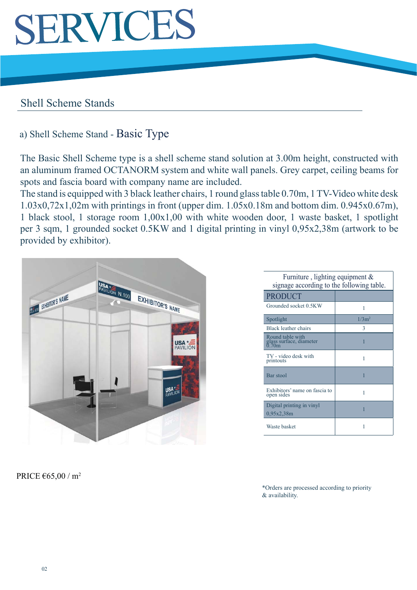### SERVICES

### Shell Scheme Stands

### a) Shell Scheme Stand - Basic Type

The Basic Shell Scheme type is a shell scheme stand solution at 3.00m height, constructed with an aluminum framed OCTANORM system and white wall panels. Grey carpet, ceiling beams for spots and fascia board with company name are included.

The stand is equipped with 3 black leather chairs, 1 round glass table 0.70m, 1 TV-Video white desk 1.03x0,72x1,02m with printings in front (upper dim. 1.05x0.18m and bottom dim. 0.945x0.67m), 1 black stool, 1 storage room 1,00x1,00 with white wooden door, 1 waste basket, 1 spotlight per 3 sqm, 1 grounded socket 0.5KW and 1 digital printing in vinyl 0,95x2,38m (artwork to be provided by exhibitor).



| Furniture, lighting equipment $\&$<br>signage according to the following table. |          |  |
|---------------------------------------------------------------------------------|----------|--|
| <b>PRODUCT</b>                                                                  |          |  |
| Grounded socket 0.5KW                                                           | 1        |  |
| Spotlight                                                                       | $1/3m^2$ |  |
| Black leather chairs                                                            | 3        |  |
| Round table with<br>glass surface, diameter<br>0.70m                            | 1        |  |
| TV - video desk with<br>printouts                                               | 1        |  |
| Bar stool                                                                       | 1        |  |
| Exhibitors' name on fascia to<br>open sides                                     | 1        |  |
| Digital printing in vinyl<br>0,95x2,38m                                         |          |  |
| Waste basket                                                                    | 1        |  |

PRICE  $\epsilon$ 65,00 / m<sup>2</sup>

\*Orders are processed according to priority & availability.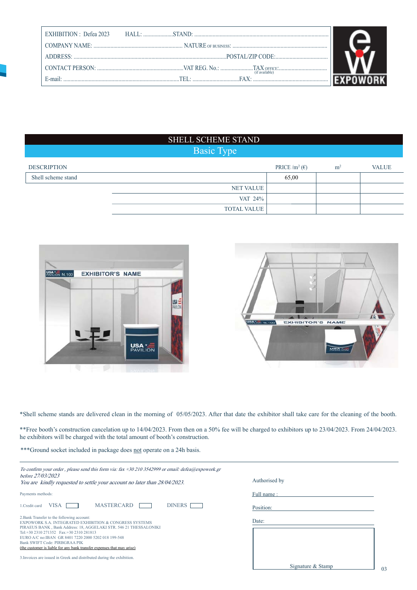| EXHIBITION : Defea 2023 |                |  |
|-------------------------|----------------|--|
|                         |                |  |
|                         |                |  |
|                         |                |  |
| $E-mail:$               | (if available) |  |

#### SHELL SCHEME STAND

### Basic Type

| <b>DESCRIPTION</b> |                    | PRICE /m <sup>2</sup> ( $\epsilon$ ) | m <sup>2</sup> | <b>VALUE</b> |
|--------------------|--------------------|--------------------------------------|----------------|--------------|
| Shell scheme stand |                    | 65,00                                |                |              |
|                    | NET VALUE          |                                      |                |              |
|                    | VAT 24%            |                                      |                |              |
|                    | <b>TOTAL VALUE</b> |                                      |                |              |





\*Shell scheme stands are delivered clean in the morning of 05/05/2023. After that date the exhibitor shall take care for the cleaning of the booth.

\*\*Free booth's construction cancelation up to 14/04/2023. From then on a 50% fee will be charged to exhibitors up to 23/04/2023. From 24/04/2023. he exhibitors will be charged with the total amount of booth's construction.

\*\*\*Ground socket included in package does not operate on a 24h basis.

| To confirm your order, please send this form via: fax +30 210 3542999 or email: defea@expowork.gr<br>before 27/03/2023<br>You are kindly requested to settle your account no later than 28/04/2023.                                                                                                                                                                                       | Authorised by                       |
|-------------------------------------------------------------------------------------------------------------------------------------------------------------------------------------------------------------------------------------------------------------------------------------------------------------------------------------------------------------------------------------------|-------------------------------------|
| Payments methods:                                                                                                                                                                                                                                                                                                                                                                         | Full name:                          |
| <b>MASTERCARD</b><br><b>DINERS</b><br>VISA<br>1. Credit card                                                                                                                                                                                                                                                                                                                              | Position:                           |
| 2. Bank Transfer to the following account:<br>EXPOWORK S.A. INTEGRATED EXHIBITION & CONGRESS SYSTEMS<br>PIRAEUS BANK, Bank Address: 18, AGGELAKI STR. 546 21 THESSALONIKI<br>Tel: +30 2310 271352 Fax: +30 2310 281813<br>EURO A/C no: IBAN GR 8401 7220 2000 5202 018 199-548<br>Bank SWIFT Code: PIRBGRAA PIK<br>(the customer is liable for any bank transfer expenses that may arise) | Date:                               |
| 3. Invoices are issued in Greek and distributed during the exhibition.                                                                                                                                                                                                                                                                                                                    | Signature & Stamp<br>0 <sup>3</sup> |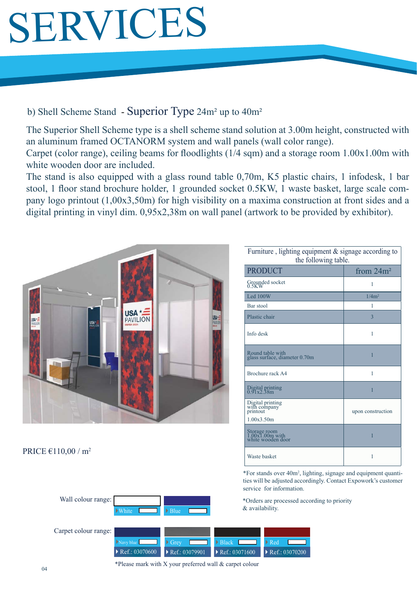## SERVICES

### b) Shell Scheme Stand - Superior Type 24m² up to 40m²

The Superior Shell Scheme type is a shell scheme stand solution at 3.00m height, constructed with an aluminum framed OCTANORM system and wall panels (wall color range).

Carpet (color range), ceiling beams for floodlights  $(1/4 \text{ sqm})$  and a storage room  $1.00x1.00m$  with white wooden door are included.

The stand is also equipped with a glass round table 0,70m, K5 plastic chairs, 1 infodesk, 1 bar stool, 1 floor stand brochure holder, 1 grounded socket 0.5KW, 1 waste basket, large scale company logo printout (1,00x3,50m) for high visibility on a maxima construction at front sides and a digital printing in vinyl dim. 0,95x2,38m on wall panel (artwork to be provided by exhibitor).



White

#### PRICE  $\epsilon$ 110,00 / m<sup>2</sup>

Wall colour range:

| Furniture, lighting equipment & signage according to<br>the following table. |                   |  |
|------------------------------------------------------------------------------|-------------------|--|
| <b>PRODUCT</b>                                                               | from $24m^2$      |  |
| Grounded socket<br>0.5KW                                                     | 1                 |  |
| Led 100W                                                                     | 1/4m <sup>2</sup> |  |
| Bar stool                                                                    | 1                 |  |
| Plastic chair                                                                | $\overline{3}$    |  |
| Info desk                                                                    | 1                 |  |
| Round table with<br>glass surface, diameter 0.70m                            | 1                 |  |
| Brochure rack A4                                                             | 1                 |  |
| Digital printing<br>0.91x2.38m                                               | 1                 |  |
| Digital printing<br>with company<br>printout<br>1.00x3.50m                   | upon construction |  |
| Storage room<br>1.00x1.00m with<br>white wooden door                         | 1                 |  |
| Waste basket                                                                 | 1                 |  |

\*For stands over 40m2 , lighting, signage and equipment quantities will be adjusted accordingly. Contact Expowork's customer service for information.

\*Orders are processed according to priority & availability.



▶ Blue

\*Please mark with X your preferred wall & carpet colour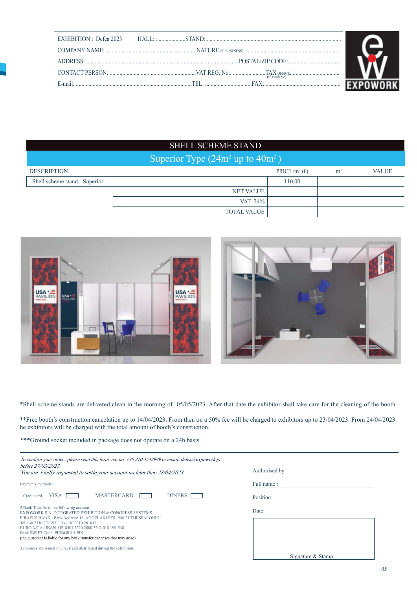| (if available) |  |
|----------------|--|
|                |  |

### SHELL SCHEME STAND

| Superior Type $(24m^2 \text{ up to } 40m^2)$ |                    |                                      |                |              |
|----------------------------------------------|--------------------|--------------------------------------|----------------|--------------|
| <b>DESCRIPTION</b>                           |                    | PRICE /m <sup>2</sup> ( $\epsilon$ ) | m <sup>2</sup> | <b>VALUE</b> |
| Shell scheme stand - Superior                |                    | 110,00                               |                |              |
|                                              | NET VALUE          |                                      |                |              |
|                                              | VAT 24%            |                                      |                |              |
|                                              | <b>TOTAL VALUE</b> |                                      |                |              |





\*Shell scheme stands are delivered clean in the morning of 05/05/2023. After that date the exhibitor shall take care for the cleaning of the booth.

\*\*Free booth's construction cancelation up to 14/04/2023. From then on a 50% fee will be charged to exhibitors up to 23/04/2023. From 24/04/2023. he exhibitors will be charged with the total amount of booth's construction.

\*\*\*Ground socket included in package does not operate on a 24h basis.

| To confirm your order, please send this form via: fax +30 210 3542999 or email: defea@expowork.gr<br>before 27/03/2023<br>You are kindly requested to settle your account no later than 28/04/2023.                                                                                                                                                                                                   | Authorised by     |
|-------------------------------------------------------------------------------------------------------------------------------------------------------------------------------------------------------------------------------------------------------------------------------------------------------------------------------------------------------------------------------------------------------|-------------------|
| Payments methods:                                                                                                                                                                                                                                                                                                                                                                                     | Full name:        |
| <b>MASTERCARD</b><br>DINERS <sub>I</sub><br><b>VISA</b><br>1. Credit card                                                                                                                                                                                                                                                                                                                             | Position:         |
| 2. Bank Transfer to the following account:<br><b>EXPOWORK S.A. INTEGRATED EXHIBITION &amp; CONGRESS SYSTEMS</b><br>PIRAEUS BANK, Bank Address: 18, AGGELAKI STR. 546 21 THESSALONIKI<br>Tel: +30 2310 271352  Fax: +30 2310 281813<br>EURO A/C no: IBAN GR 8401 7220 2000 5202 018 199-548<br>Bank SWIFT Code: PIRBGRAA PIK<br>(the customer is liable for any bank transfer expenses that may arise) | Date:             |
| 3. Invoices are issued in Greek and distributed during the exhibition.                                                                                                                                                                                                                                                                                                                                | Signature & Stamp |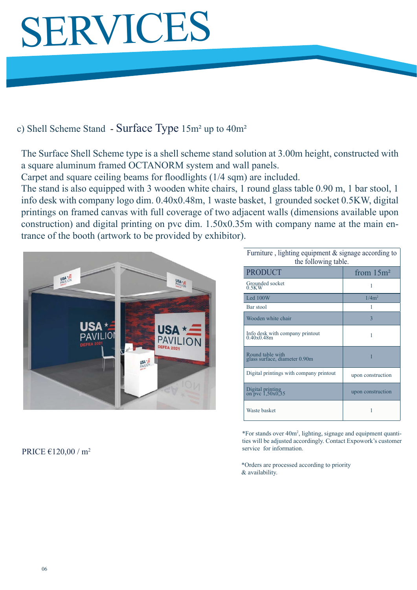# SERVICES

### c) Shell Scheme Stand - Surface Type 15m² up to 40m²

The Surface Shell Scheme type is a shell scheme stand solution at 3.00m height, constructed with a square aluminum framed OCTANORM system and wall panels.

Carpet and square ceiling beams for floodlights (1/4 sqm) are included.

The stand is also equipped with 3 wooden white chairs, 1 round glass table 0.90 m, 1 bar stool, 1 info desk with company logo dim. 0.40x0.48m, 1 waste basket, 1 grounded socket 0.5KW, digital printings on framed canvas with full coverage of two adjacent walls (dimensions available upon construction) and digital printing on pvc dim. 1.50x0.35m with company name at the main entrance of the booth (artwork to be provided by exhibitor).



#### PRICE  $\epsilon$ 120,00 / m<sup>2</sup>

| Furniture, lighting equipment $\&$ signage according to<br>the following table. |                   |  |
|---------------------------------------------------------------------------------|-------------------|--|
| <b>PRODUCT</b>                                                                  | from $15m^2$      |  |
| Grounded socket<br>0.5KW                                                        | 1                 |  |
| Led $100W$                                                                      | $1/4m^2$          |  |
| Bar stool                                                                       | 1                 |  |
| Wooden white chair                                                              | 3                 |  |
| Info desk with company printout<br>0.40x0.48m                                   | 1                 |  |
| Round table with<br>glass surface, diameter 0.90m                               | 1                 |  |
| Digital printings with company printout                                         | upon construction |  |
| Digital printing<br>on pvc 1,50x0,35                                            | upon construction |  |
| Waste basket                                                                    | 1                 |  |

\*For stands over 40m2 , lighting, signage and equipment quantities will be adjusted accordingly. Contact Expowork's customer service for information.

\*Orders are processed according to priority & availability.